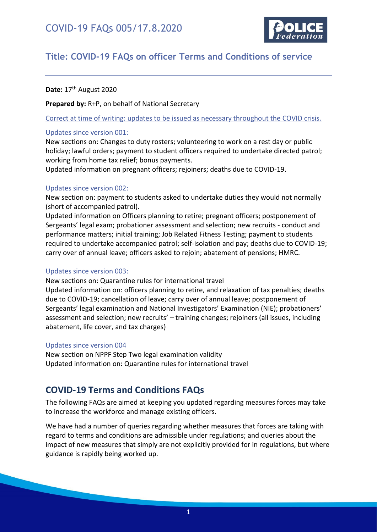

### **Title: COVID-19 FAQs on officer Terms and Conditions of service**

Date: 17<sup>th</sup> August 2020

**Prepared by:** R+P, on behalf of National Secretary

Correct at time of writing: updates to be issued as necessary throughout the COVID crisis.

#### Updates since version 001:

New sections on: Changes to duty rosters; volunteering to work on a rest day or public holiday; lawful orders; payment to student officers required to undertake directed patrol; working from home tax relief; bonus payments.

Updated information on pregnant officers; rejoiners; deaths due to COVID-19.

#### Updates since version 002:

New section on: payment to students asked to undertake duties they would not normally (short of accompanied patrol).

Updated information on Officers planning to retire; pregnant officers; postponement of Sergeants' legal exam; probationer assessment and selection; new recruits - conduct and performance matters; initial training; Job Related Fitness Testing; payment to students required to undertake accompanied patrol; self-isolation and pay; deaths due to COVID-19; carry over of annual leave; officers asked to rejoin; abatement of pensions; HMRC.

#### Updates since version 003:

New sections on: Quarantine rules for international travel

Updated information on: officers planning to retire, and relaxation of tax penalties; deaths due to COVID-19; cancellation of leave; carry over of annual leave; postponement of Sergeants' legal examination and National Investigators' Examination (NIE); probationers' assessment and selection; new recruits' – training changes; rejoiners (all issues, including abatement, life cover, and tax charges)

#### Updates since version 004

New section on NPPF Step Two legal examination validity Updated information on: Quarantine rules for international travel

### <span id="page-0-0"></span>**COVID-19 Terms and Conditions FAQs**

The following FAQs are aimed at keeping you updated regarding measures forces may take to increase the workforce and manage existing officers.

We have had a number of queries regarding whether measures that forces are taking with regard to terms and conditions are admissible under regulations; and queries about the impact of new measures that simply are not explicitly provided for in regulations, but where guidance is rapidly being worked up.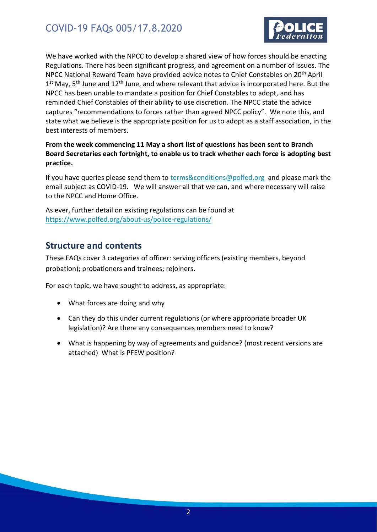

We have worked with the NPCC to develop a shared view of how forces should be enacting Regulations. There has been significant progress, and agreement on a number of issues. The NPCC National Reward Team have provided advice notes to Chief Constables on 20th April 1<sup>st</sup> May, 5<sup>th</sup> June and 12<sup>th</sup> June, and where relevant that advice is incorporated here. But the NPCC has been unable to mandate a position for Chief Constables to adopt, and has reminded Chief Constables of their ability to use discretion. The NPCC state the advice captures "recommendations to forces rather than agreed NPCC policy". We note this, and state what we believe is the appropriate position for us to adopt as a staff association, in the best interests of members.

#### **From the week commencing 11 May a short list of questions has been sent to Branch Board Secretaries each fortnight, to enable us to track whether each force is adopting best practice.**

If you have queries please send them to **terms&conditions@polfed.org** and please mark the email subject as COVID-19. We will answer all that we can, and where necessary will raise to the NPCC and Home Office.

As ever, further detail on existing regulations can be found at <https://www.polfed.org/about-us/police-regulations/>

### <span id="page-1-0"></span>**Structure and contents**

These FAQs cover 3 categories of officer: serving officers (existing members, beyond probation); probationers and trainees; rejoiners.

For each topic, we have sought to address, as appropriate:

- What forces are doing and why
- Can they do this under current regulations (or where appropriate broader UK legislation)? Are there any consequences members need to know?
- What is happening by way of agreements and guidance? (most recent versions are attached) What is PFEW position?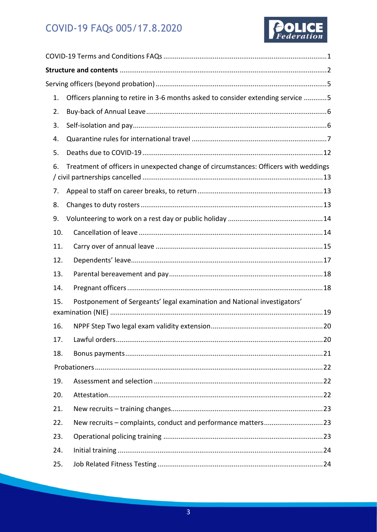

| 1.  | Officers planning to retire in 3-6 months asked to consider extending service 5     |  |  |  |
|-----|-------------------------------------------------------------------------------------|--|--|--|
| 2.  |                                                                                     |  |  |  |
| 3.  |                                                                                     |  |  |  |
| 4.  |                                                                                     |  |  |  |
| 5.  |                                                                                     |  |  |  |
| 6.  | Treatment of officers in unexpected change of circumstances: Officers with weddings |  |  |  |
| 7.  |                                                                                     |  |  |  |
| 8.  |                                                                                     |  |  |  |
| 9.  |                                                                                     |  |  |  |
| 10. |                                                                                     |  |  |  |
| 11. |                                                                                     |  |  |  |
| 12. |                                                                                     |  |  |  |
| 13. |                                                                                     |  |  |  |
| 14. |                                                                                     |  |  |  |
| 15. | Postponement of Sergeants' legal examination and National investigators'            |  |  |  |
| 16. |                                                                                     |  |  |  |
| 17. |                                                                                     |  |  |  |
| 18. |                                                                                     |  |  |  |
|     |                                                                                     |  |  |  |
| 19. |                                                                                     |  |  |  |
| 20. |                                                                                     |  |  |  |
| 21. |                                                                                     |  |  |  |
| 22. |                                                                                     |  |  |  |
| 23. |                                                                                     |  |  |  |
| 24. |                                                                                     |  |  |  |
| 25. |                                                                                     |  |  |  |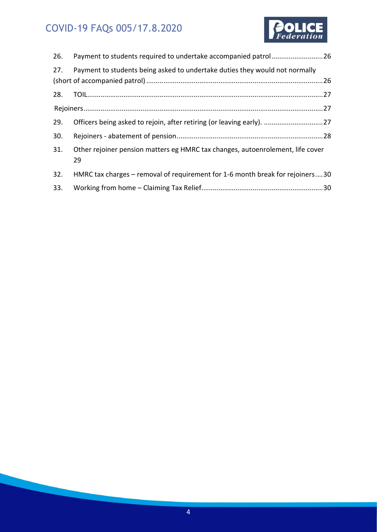

| 26. | Payment to students required to undertake accompanied patrol26                       |  |
|-----|--------------------------------------------------------------------------------------|--|
| 27. | Payment to students being asked to undertake duties they would not normally          |  |
|     |                                                                                      |  |
| 28. |                                                                                      |  |
|     |                                                                                      |  |
| 29. | Officers being asked to rejoin, after retiring (or leaving early). 27                |  |
| 30. |                                                                                      |  |
| 31. | Other rejoiner pension matters eg HMRC tax changes, autoenrolement, life cover<br>29 |  |
| 32. | HMRC tax charges – removal of requirement for 1-6 month break for rejoiners30        |  |
| 33. |                                                                                      |  |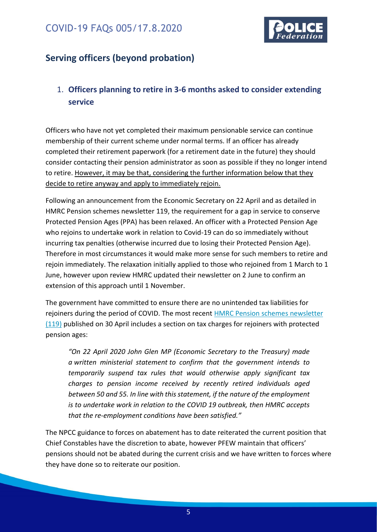

## <span id="page-4-0"></span>**Serving officers (beyond probation)**

### <span id="page-4-1"></span>1. **Officers planning to retire in 3-6 months asked to consider extending service**

Officers who have not yet completed their maximum pensionable service can continue membership of their current scheme under normal terms. If an officer has already completed their retirement paperwork (for a retirement date in the future) they should consider contacting their pension administrator as soon as possible if they no longer intend to retire. However, it may be that, considering the further information below that they decide to retire anyway and apply to immediately rejoin.

Following an announcement from the Economic Secretary on 22 April and as detailed in HMRC Pension schemes newsletter 119, the requirement for a gap in service to conserve Protected Pension Ages (PPA) has been relaxed. An officer with a Protected Pension Age who rejoins to undertake work in relation to Covid-19 can do so immediately without incurring tax penalties (otherwise incurred due to losing their Protected Pension Age). Therefore in most circumstances it would make more sense for such members to retire and rejoin immediately. The relaxation initially applied to those who rejoined from 1 March to 1 June, however upon review HMRC updated their newsletter on 2 June to confirm an extension of this approach until 1 November.

The government have committed to ensure there are no unintended tax liabilities for rejoiners during the period of COVID. The most recent HMRC [Pension schemes](https://www.gov.uk/government/publications/pension-schemes-newsletter-119-april-2020/pension-schemes-newsletter-119-april-2020) newsletter [\(119\)](https://www.gov.uk/government/publications/pension-schemes-newsletter-119-april-2020/pension-schemes-newsletter-119-april-2020) published on 30 April includes a section on tax charges for rejoiners with protected pension ages:

*"On 22 April 2020 John Glen MP (Economic Secretary to the Treasury) made a [written ministerial statement](https://www.parliament.uk/business/publications/written-questions-answers-statements/written-statement/Commons/2020-04-22/HCWS196/) to confirm that the government intends to temporarily suspend tax rules that would otherwise apply significant tax charges to pension income received by recently retired individuals aged between 50 and 55. In line with this statement, if the nature of the employment is to undertake work in relation to the COVID 19 outbreak, then HMRC accepts that the re-employment conditions have been satisfied."*

The NPCC guidance to forces on abatement has to date reiterated the current position that Chief Constables have the discretion to abate, however PFEW maintain that officers' pensions should not be abated during the current crisis and we have written to forces where they have done so to reiterate our position.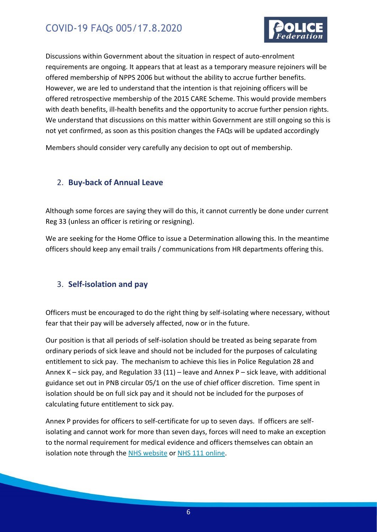

Discussions within Government about the situation in respect of auto-enrolment requirements are ongoing. It appears that at least as a temporary measure rejoiners will be offered membership of NPPS 2006 but without the ability to accrue further benefits. However, we are led to understand that the intention is that rejoining officers will be offered retrospective membership of the 2015 CARE Scheme. This would provide members with death benefits, ill-health benefits and the opportunity to accrue further pension rights. We understand that discussions on this matter within Government are still ongoing so this is not yet confirmed, as soon as this position changes the FAQs will be updated accordingly

Members should consider very carefully any decision to opt out of membership.

#### <span id="page-5-0"></span>2. **Buy-back of Annual Leave**

Although some forces are saying they will do this, it cannot currently be done under current Reg 33 (unless an officer is retiring or resigning).

We are seeking for the Home Office to issue a Determination allowing this. In the meantime officers should keep any email trails / communications from HR departments offering this.

#### <span id="page-5-1"></span>3. **Self-isolation and pay**

Officers must be encouraged to do the right thing by self-isolating where necessary, without fear that their pay will be adversely affected, now or in the future.

Our position is that all periods of self-isolation should be treated as being separate from ordinary periods of sick leave and should not be included for the purposes of calculating entitlement to sick pay. The mechanism to achieve this lies in Police Regulation 28 and Annex K – sick pay, and Regulation 33 (11) – leave and Annex P – sick leave, with additional guidance set out in PNB circular 05/1 on the use of chief officer discretion. Time spent in isolation should be on full sick pay and it should not be included for the purposes of calculating future entitlement to sick pay.

Annex P provides for officers to self-certificate for up to seven days. If officers are selfisolating and cannot work for more than seven days, forces will need to make an exception to the normal requirement for medical evidence and officers themselves can obtain an isolation note through the [NHS website](https://www.nhs.uk/conditions/coronavirus-covid-19/) or [NHS 111 online.](https://111.nhs.uk/covid-19)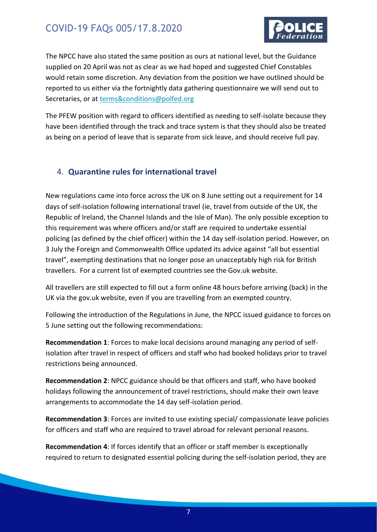

The NPCC have also stated the same position as ours at national level, but the Guidance supplied on 20 April was not as clear as we had hoped and suggested Chief Constables would retain some discretion. Any deviation from the position we have outlined should be reported to us either via the fortnightly data gathering questionnaire we will send out to Secretaries, or at [terms&conditions@polfed.org](mailto:terms&conditions@polfed.org)

The PFEW position with regard to officers identified as needing to self-isolate because they have been identified through the track and trace system is that they should also be treated as being on a period of leave that is separate from sick leave, and should receive full pay.

#### <span id="page-6-0"></span>4. **Quarantine rules for international travel**

New regulations came into force across the UK on 8 June setting out a requirement for 14 days of self-isolation following international travel (ie, travel from outside of the UK, the Republic of Ireland, the Channel Islands and the Isle of Man). The only possible exception to this requirement was where officers and/or staff are required to undertake essential policing (as defined by the chief officer) within the 14 day self-isolation period. However, on 3 July the Foreign and Commonwealth Office updated its advice against "all but essential travel", exempting destinations that no longer pose an unacceptably high risk for British travellers. For a current list of exempted countries see the Gov.uk website.

All travellers are still expected to fill out a form online 48 hours before arriving (back) in the UK via the gov.uk website, even if you are travelling from an exempted country.

Following the introduction of the Regulations in June, the NPCC issued guidance to forces on 5 June setting out the following recommendations:

**Recommendation 1**: Forces to make local decisions around managing any period of selfisolation after travel in respect of officers and staff who had booked holidays prior to travel restrictions being announced.

**Recommendation 2**: NPCC guidance should be that officers and staff, who have booked holidays following the announcement of travel restrictions, should make their own leave arrangements to accommodate the 14 day self-isolation period.

**Recommendation 3**: Forces are invited to use existing special/ compassionate leave policies for officers and staff who are required to travel abroad for relevant personal reasons.

**Recommendation 4**: If forces identify that an officer or staff member is exceptionally required to return to designated essential policing during the self-isolation period, they are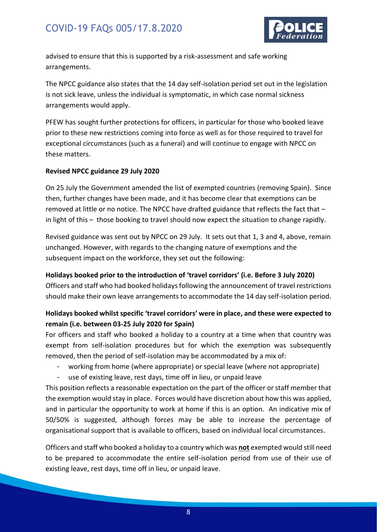

advised to ensure that this is supported by a risk-assessment and safe working arrangements.

The NPCC guidance also states that the 14 day self-isolation period set out in the legislation is not sick leave, unless the individual is symptomatic, in which case normal sickness arrangements would apply.

PFEW has sought further protections for officers, in particular for those who booked leave prior to these new restrictions coming into force as well as for those required to travel for exceptional circumstances (such as a funeral) and will continue to engage with NPCC on these matters.

#### **Revised NPCC guidance 29 July 2020**

On 25 July the Government amended the list of exempted countries (removing Spain). Since then, further changes have been made, and it has become clear that exemptions can be removed at little or no notice. The NPCC have drafted guidance that reflects the fact that – in light of this – those booking to travel should now expect the situation to change rapidly.

Revised guidance was sent out by NPCC on 29 July. It sets out that 1, 3 and 4, above, remain unchanged. However, with regards to the changing nature of exemptions and the subsequent impact on the workforce, they set out the following:

#### **Holidays booked prior to the introduction of 'travel corridors' (i.e. Before 3 July 2020)**

Officers and staff who had booked holidays following the announcement of travel restrictions should make their own leave arrangements to accommodate the 14 day self-isolation period.

#### **Holidays booked whilst specific 'travel corridors' were in place, and these were expected to remain (i.e. between 03-25 July 2020 for Spain)**

For officers and staff who booked a holiday to a country at a time when that country was exempt from self-isolation procedures but for which the exemption was subsequently removed, then the period of self-isolation may be accommodated by a mix of:

- working from home (where appropriate) or special leave (where not appropriate)
- use of existing leave, rest days, time off in lieu, or unpaid leave

This position reflects a reasonable expectation on the part of the officer or staff member that the exemption would stay in place. Forces would have discretion about how this was applied, and in particular the opportunity to work at home if this is an option. An indicative mix of 50/50% is suggested, although forces may be able to increase the percentage of organisational support that is available to officers, based on individual local circumstances.

Officers and staff who booked a holiday to a country which was **not** exempted would still need to be prepared to accommodate the entire self-isolation period from use of their use of existing leave, rest days, time off in lieu, or unpaid leave.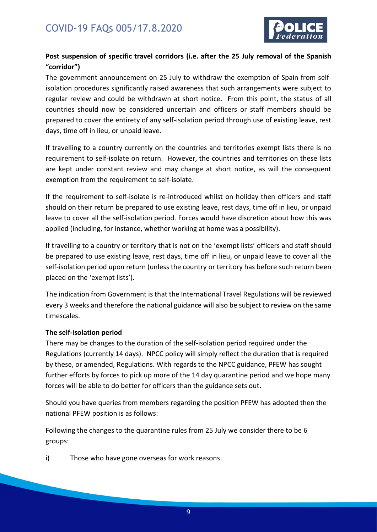

#### **Post suspension of specific travel corridors (i.e. after the 25 July removal of the Spanish "corridor")**

The government announcement on 25 July to withdraw the exemption of Spain from selfisolation procedures significantly raised awareness that such arrangements were subject to regular review and could be withdrawn at short notice. From this point, the status of all countries should now be considered uncertain and officers or staff members should be prepared to cover the entirety of any self-isolation period through use of existing leave, rest days, time off in lieu, or unpaid leave.

If travelling to a country currently on the countries and territories exempt lists there is no requirement to self-isolate on return. However, the countries and territories on these lists are kept under constant review and may change at short notice, as will the consequent exemption from the requirement to self-isolate.

If the requirement to self-isolate is re-introduced whilst on holiday then officers and staff should on their return be prepared to use existing leave, rest days, time off in lieu, or unpaid leave to cover all the self-isolation period. Forces would have discretion about how this was applied (including, for instance, whether working at home was a possibility).

If travelling to a country or territory that is not on the 'exempt lists' officers and staff should be prepared to use existing leave, rest days, time off in lieu, or unpaid leave to cover all the self-isolation period upon return (unless the country or territory has before such return been placed on the 'exempt lists').

The indication from Government is that the International Travel Regulations will be reviewed every 3 weeks and therefore the national guidance will also be subject to review on the same timescales.

#### **The self-isolation period**

There may be changes to the duration of the self-isolation period required under the Regulations (currently 14 days). NPCC policy will simply reflect the duration that is required by these, or amended, Regulations. With regards to the NPCC guidance, PFEW has sought further efforts by forces to pick up more of the 14 day quarantine period and we hope many forces will be able to do better for officers than the guidance sets out.

Should you have queries from members regarding the position PFEW has adopted then the national PFEW position is as follows:

Following the changes to the quarantine rules from 25 July we consider there to be 6 groups:

i) Those who have gone overseas for work reasons.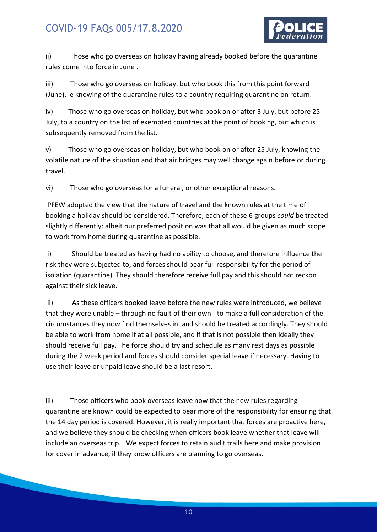

ii) Those who go overseas on holiday having already booked before the quarantine rules come into force in June .

iii) Those who go overseas on holiday, but who book this from this point forward (June), ie knowing of the quarantine rules to a country requiring quarantine on return.

iv) Those who go overseas on holiday, but who book on or after 3 July, but before 25 July, to a country on the list of exempted countries at the point of booking, but which is subsequently removed from the list.

v) Those who go overseas on holiday, but who book on or after 25 July, knowing the volatile nature of the situation and that air bridges may well change again before or during travel.

vi) Those who go overseas for a funeral, or other exceptional reasons.

PFEW adopted the view that the nature of travel and the known rules at the time of booking a holiday should be considered. Therefore, each of these 6 groups *could* be treated slightly differently: albeit our preferred position was that all would be given as much scope to work from home during quarantine as possible.

i) Should be treated as having had no ability to choose, and therefore influence the risk they were subjected to, and forces should bear full responsibility for the period of isolation (quarantine). They should therefore receive full pay and this should not reckon against their sick leave.

ii) As these officers booked leave before the new rules were introduced, we believe that they were unable – through no fault of their own - to make a full consideration of the circumstances they now find themselves in, and should be treated accordingly. They should be able to work from home if at all possible, and if that is not possible then ideally they should receive full pay. The force should try and schedule as many rest days as possible during the 2 week period and forces should consider special leave if necessary. Having to use their leave or unpaid leave should be a last resort.

iii) Those officers who book overseas leave now that the new rules regarding quarantine are known could be expected to bear more of the responsibility for ensuring that the 14 day period is covered. However, it is really important that forces are proactive here, and we believe they should be checking when officers book leave whether that leave will include an overseas trip. We expect forces to retain audit trails here and make provision for cover in advance, if they know officers are planning to go overseas.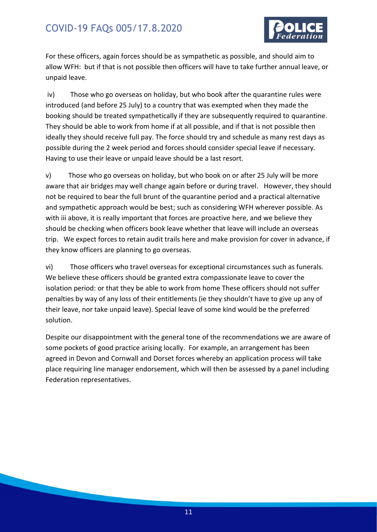

For these officers, again forces should be as sympathetic as possible, and should aim to allow WFH: but if that is not possible then officers will have to take further annual leave, or unpaid leave.

iv) Those who go overseas on holiday, but who book after the quarantine rules were introduced (and before 25 July) to a country that was exempted when they made the booking should be treated sympathetically if they are subsequently required to quarantine. They should be able to work from home if at all possible, and if that is not possible then ideally they should receive full pay. The force should try and schedule as many rest days as possible during the 2 week period and forces should consider special leave if necessary. Having to use their leave or unpaid leave should be a last resort.

v) Those who go overseas on holiday, but who book on or after 25 July will be more aware that air bridges may well change again before or during travel. However, they should not be required to bear the full brunt of the quarantine period and a practical alternative and sympathetic approach would be best; such as considering WFH wherever possible. As with iii above, it is really important that forces are proactive here, and we believe they should be checking when officers book leave whether that leave will include an overseas trip. We expect forces to retain audit trails here and make provision for cover in advance, if they know officers are planning to go overseas.

vi) Those officers who travel overseas for exceptional circumstances such as funerals. We believe these officers should be granted extra compassionate leave to cover the isolation period: or that they be able to work from home These officers should not suffer penalties by way of any loss of their entitlements (ie they shouldn't have to give up any of their leave, nor take unpaid leave). Special leave of some kind would be the preferred solution.

Despite our disappointment with the general tone of the recommendations we are aware of some pockets of good practice arising locally. For example, an arrangement has been agreed in Devon and Cornwall and Dorset forces whereby an application process will take place requiring line manager endorsement, which will then be assessed by a panel including Federation representatives.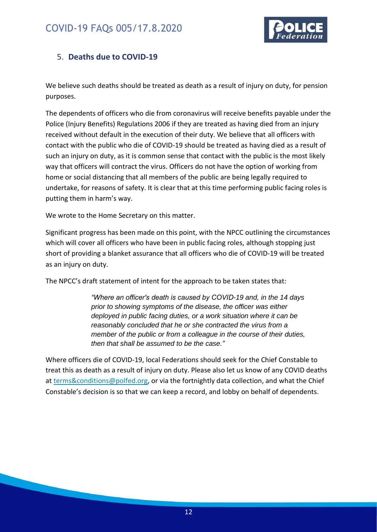

#### <span id="page-11-0"></span>5. **Deaths due to COVID-19**

We believe such deaths should be treated as death as a result of injury on duty, for pension purposes.

The dependents of officers who die from coronavirus will receive benefits payable under the Police (Injury Benefits) Regulations 2006 if they are treated as having died from an injury received without default in the execution of their duty. We believe that all officers with contact with the public who die of COVID-19 should be treated as having died as a result of such an injury on duty, as it is common sense that contact with the public is the most likely way that officers will contract the virus. Officers do not have the option of working from home or social distancing that all members of the public are being legally required to undertake, for reasons of safety. It is clear that at this time performing public facing roles is putting them in harm's way.

We wrote to the Home Secretary on this matter.

Significant progress has been made on this point, with the NPCC outlining the circumstances which will cover all officers who have been in public facing roles, although stopping just short of providing a blanket assurance that all officers who die of COVID-19 will be treated as an injury on duty.

The NPCC's draft statement of intent for the approach to be taken states that:

*"Where an officer's death is caused by COVID-19 and, in the 14 days prior to showing symptoms of the disease, the officer was either deployed in public facing duties, or a work situation where it can be reasonably concluded that he or she contracted the virus from a member of the public or from a colleague in the course of their duties, then that shall be assumed to be the case."*

Where officers die of COVID-19, local Federations should seek for the Chief Constable to treat this as death as a result of injury on duty. Please also let us know of any COVID deaths at [terms&conditions@polfed.org,](mailto:terms&conditions@polfed.org) or via the fortnightly data collection, and what the Chief Constable's decision is so that we can keep a record, and lobby on behalf of dependents.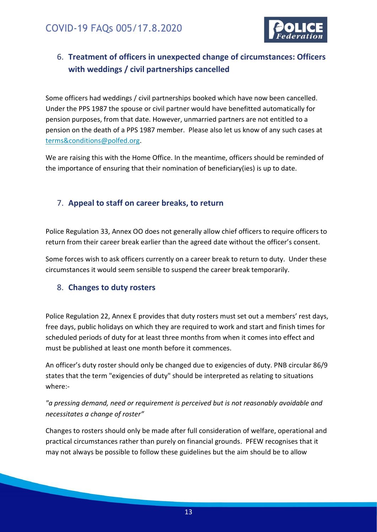

### <span id="page-12-0"></span>6. **Treatment of officers in unexpected change of circumstances: Officers with weddings / civil partnerships cancelled**

Some officers had weddings / civil partnerships booked which have now been cancelled. Under the PPS 1987 the spouse or civil partner would have benefitted automatically for pension purposes, from that date. However, unmarried partners are not entitled to a pension on the death of a PPS 1987 member. Please also let us know of any such cases at [terms&conditions@polfed.org.](mailto:terms&conditions@polfed.org)

We are raising this with the Home Office. In the meantime, officers should be reminded of the importance of ensuring that their nomination of beneficiary(ies) is up to date.

#### <span id="page-12-1"></span>7. **Appeal to staff on career breaks, to return**

Police Regulation 33, Annex OO does not generally allow chief officers to require officers to return from their career break earlier than the agreed date without the officer's consent.

Some forces wish to ask officers currently on a career break to return to duty. Under these circumstances it would seem sensible to suspend the career break temporarily.

#### <span id="page-12-2"></span>8. **Changes to duty rosters**

Police Regulation 22, Annex E provides that duty rosters must set out a members' rest days, free days, public holidays on which they are required to work and start and finish times for scheduled periods of duty for at least three months from when it comes into effect and must be published at least one month before it commences.

An officer's duty roster should only be changed due to exigencies of duty. PNB circular 86/9 states that the term "exigencies of duty" should be interpreted as relating to situations where:-

#### *"a pressing demand, need or requirement is perceived but is not reasonably avoidable and necessitates a change of roster"*

Changes to rosters should only be made after full consideration of welfare, operational and practical circumstances rather than purely on financial grounds. PFEW recognises that it may not always be possible to follow these guidelines but the aim should be to allow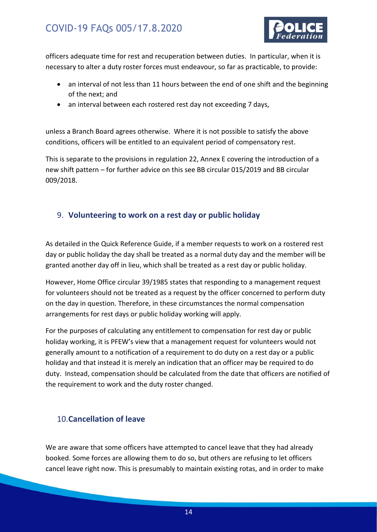

officers adequate time for rest and recuperation between duties. In particular, when it is necessary to alter a duty roster forces must endeavour, so far as practicable, to provide:

- an interval of not less than 11 hours between the end of one shift and the beginning of the next; and
- an interval between each rostered rest day not exceeding 7 days,

unless a Branch Board agrees otherwise. Where it is not possible to satisfy the above conditions, officers will be entitled to an equivalent period of compensatory rest.

This is separate to the provisions in regulation 22, Annex E covering the introduction of a new shift pattern – for further advice on this see BB circular 015/2019 and BB circular 009/2018.

#### <span id="page-13-0"></span>9. **Volunteering to work on a rest day or public holiday**

As detailed in the Quick Reference Guide, if a member requests to work on a rostered rest day or public holiday the day shall be treated as a normal duty day and the member will be granted another day off in lieu, which shall be treated as a rest day or public holiday.

However, Home Office circular 39/1985 states that responding to a management request for volunteers should not be treated as a request by the officer concerned to perform duty on the day in question. Therefore, in these circumstances the normal compensation arrangements for rest days or public holiday working will apply.

For the purposes of calculating any entitlement to compensation for rest day or public holiday working, it is PFEW's view that a management request for volunteers would not generally amount to a notification of a requirement to do duty on a rest day or a public holiday and that instead it is merely an indication that an officer may be required to do duty. Instead, compensation should be calculated from the date that officers are notified of the requirement to work and the duty roster changed.

#### <span id="page-13-1"></span>10.**Cancellation of leave**

We are aware that some officers have attempted to cancel leave that they had already booked. Some forces are allowing them to do so, but others are refusing to let officers cancel leave right now. This is presumably to maintain existing rotas, and in order to make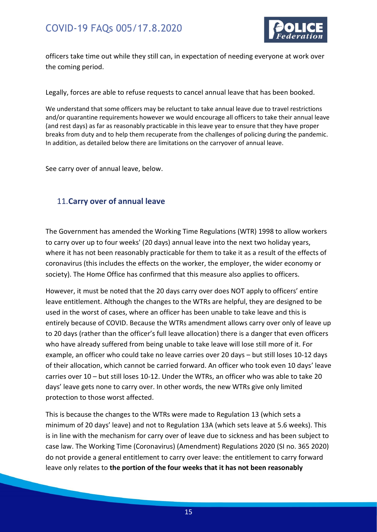

officers take time out while they still can, in expectation of needing everyone at work over the coming period.

Legally, forces are able to refuse requests to cancel annual leave that has been booked.

We understand that some officers may be reluctant to take annual leave due to travel restrictions and/or quarantine requirements however we would encourage all officers to take their annual leave (and rest days) as far as reasonably practicable in this leave year to ensure that they have proper breaks from duty and to help them recuperate from the challenges of policing during the pandemic. In addition, as detailed below there are limitations on the carryover of annual leave.

See carry over of annual leave, below.

#### <span id="page-14-0"></span>11.**Carry over of annual leave**

The Government has amended the Working Time Regulations (WTR) 1998 to allow workers to carry over up to four weeks' (20 days) annual leave into the next two holiday years, where it has not been reasonably practicable for them to take it as a result of the effects of coronavirus (this includes the effects on the worker, the employer, the wider economy or society). The Home Office has confirmed that this measure also applies to officers.

However, it must be noted that the 20 days carry over does NOT apply to officers' entire leave entitlement. Although the changes to the WTRs are helpful, they are designed to be used in the worst of cases, where an officer has been unable to take leave and this is entirely because of COVID. Because the WTRs amendment allows carry over only of leave up to 20 days (rather than the officer's full leave allocation) there is a danger that even officers who have already suffered from being unable to take leave will lose still more of it. For example, an officer who could take no leave carries over 20 days – but still loses 10-12 days of their allocation, which cannot be carried forward. An officer who took even 10 days' leave carries over 10 – but still loses 10-12. Under the WTRs, an officer who was able to take 20 days' leave gets none to carry over. In other words, the new WTRs give only limited protection to those worst affected.

This is because the changes to the WTRs were made to Regulation 13 (which sets a minimum of 20 days' leave) and not to Regulation 13A (which sets leave at 5.6 weeks). This is in line with the mechanism for carry over of leave due to sickness and has been subject to case law. The Working Time (Coronavirus) (Amendment) Regulations 2020 (SI no. 365 2020) do not provide a general entitlement to carry over leave: the entitlement to carry forward leave only relates to **the portion of the four weeks that it has not been reasonably**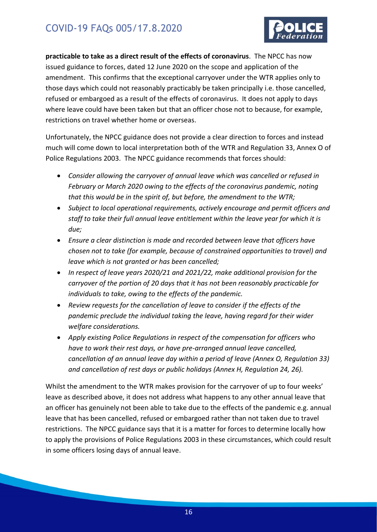

**practicable to take as a direct result of the effects of coronavirus**. The NPCC has now issued guidance to forces, dated 12 June 2020 on the scope and application of the amendment. This confirms that the exceptional carryover under the WTR applies only to those days which could not reasonably practicably be taken principally i.e. those cancelled, refused or embargoed as a result of the effects of coronavirus. It does not apply to days where leave could have been taken but that an officer chose not to because, for example, restrictions on travel whether home or overseas.

Unfortunately, the NPCC guidance does not provide a clear direction to forces and instead much will come down to local interpretation both of the WTR and Regulation 33, Annex O of Police Regulations 2003. The NPCC guidance recommends that forces should:

- *Consider allowing the carryover of annual leave which was cancelled or refused in February or March 2020 owing to the effects of the coronavirus pandemic, noting that this would be in the spirit of, but before, the amendment to the WTR;*
- *Subject to local operational requirements, actively encourage and permit officers and staff to take their full annual leave entitlement within the leave year for which it is due;*
- *Ensure a clear distinction is made and recorded between leave that officers have chosen not to take (for example, because of constrained opportunities to travel) and leave which is not granted or has been cancelled;*
- *In respect of leave years 2020/21 and 2021/22, make additional provision for the carryover of the portion of 20 days that it has not been reasonably practicable for individuals to take, owing to the effects of the pandemic.*
- *Review requests for the cancellation of leave to consider if the effects of the pandemic preclude the individual taking the leave, having regard for their wider welfare considerations.*
- *Apply existing Police Regulations in respect of the compensation for officers who have to work their rest days, or have pre-arranged annual leave cancelled, cancellation of an annual leave day within a period of leave (Annex O, Regulation 33) and cancellation of rest days or public holidays (Annex H, Regulation 24, 26).*

Whilst the amendment to the WTR makes provision for the carryover of up to four weeks' leave as described above, it does not address what happens to any other annual leave that an officer has genuinely not been able to take due to the effects of the pandemic e.g. annual leave that has been cancelled, refused or embargoed rather than not taken due to travel restrictions. The NPCC guidance says that it is a matter for forces to determine locally how to apply the provisions of Police Regulations 2003 in these circumstances, which could result in some officers losing days of annual leave.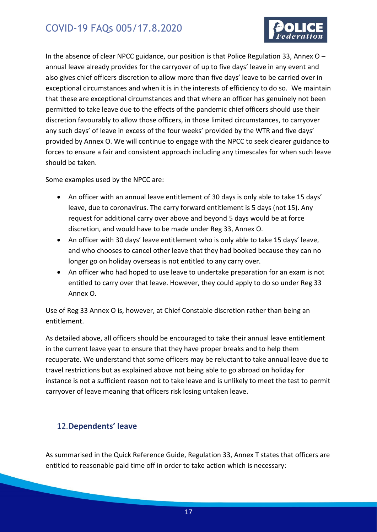

In the absence of clear NPCC guidance, our position is that Police Regulation 33, Annex O – annual leave already provides for the carryover of up to five days' leave in any event and also gives chief officers discretion to allow more than five days' leave to be carried over in exceptional circumstances and when it is in the interests of efficiency to do so. We maintain that these are exceptional circumstances and that where an officer has genuinely not been permitted to take leave due to the effects of the pandemic chief officers should use their discretion favourably to allow those officers, in those limited circumstances, to carryover any such days' of leave in excess of the four weeks' provided by the WTR and five days' provided by Annex O. We will continue to engage with the NPCC to seek clearer guidance to forces to ensure a fair and consistent approach including any timescales for when such leave should be taken.

Some examples used by the NPCC are:

- An officer with an annual leave entitlement of 30 days is only able to take 15 days' leave, due to coronavirus. The carry forward entitlement is 5 days (not 15). Any request for additional carry over above and beyond 5 days would be at force discretion, and would have to be made under Reg 33, Annex O.
- An officer with 30 days' leave entitlement who is only able to take 15 days' leave, and who chooses to cancel other leave that they had booked because they can no longer go on holiday overseas is not entitled to any carry over.
- An officer who had hoped to use leave to undertake preparation for an exam is not entitled to carry over that leave. However, they could apply to do so under Reg 33 Annex O.

Use of Reg 33 Annex O is, however, at Chief Constable discretion rather than being an entitlement.

As detailed above, all officers should be encouraged to take their annual leave entitlement in the current leave year to ensure that they have proper breaks and to help them recuperate. We understand that some officers may be reluctant to take annual leave due to travel restrictions but as explained above not being able to go abroad on holiday for instance is not a sufficient reason not to take leave and is unlikely to meet the test to permit carryover of leave meaning that officers risk losing untaken leave.

#### <span id="page-16-0"></span>12.**Dependents' leave**

As summarised in the Quick Reference Guide, Regulation 33, Annex T states that officers are entitled to reasonable paid time off in order to take action which is necessary: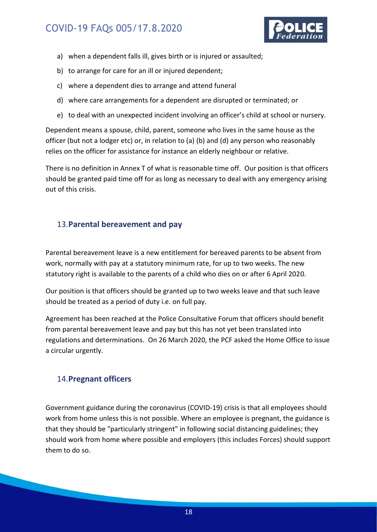

- a) when a dependent falls ill, gives birth or is injured or assaulted;
- b) to arrange for care for an ill or injured dependent;
- c) where a dependent dies to arrange and attend funeral
- d) where care arrangements for a dependent are disrupted or terminated; or
- e) to deal with an unexpected incident involving an officer's child at school or nursery.

Dependent means a spouse, child, parent, someone who lives in the same house as the officer (but not a lodger etc) or, in relation to (a) (b) and (d) any person who reasonably relies on the officer for assistance for instance an elderly neighbour or relative.

There is no definition in Annex T of what is reasonable time off. Our position is that officers should be granted paid time off for as long as necessary to deal with any emergency arising out of this crisis.

#### <span id="page-17-0"></span>13.**Parental bereavement and pay**

Parental bereavement leave is a new entitlement for bereaved parents to be absent from work, normally with pay at a statutory minimum rate, for up to two weeks. The new statutory right is available to the parents of a child who dies on or after 6 April 2020.

Our position is that officers should be granted up to two weeks leave and that such leave should be treated as a period of duty i.e. on full pay.

Agreement has been reached at the Police Consultative Forum that officers should benefit from parental bereavement leave and pay but this has not yet been translated into regulations and determinations. On 26 March 2020, the PCF asked the Home Office to issue a circular urgently.

#### <span id="page-17-1"></span>14.**Pregnant officers**

Government guidance during the coronavirus (COVID-19) crisis is that all employees should work from home unless this is not possible. Where an employee is pregnant, the guidance is that they should be "particularly stringent" in following social distancing guidelines; they should work from home where possible and employers (this includes Forces) should support them to do so.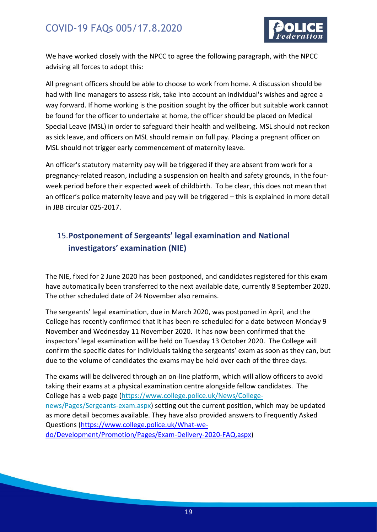

We have worked closely with the NPCC to agree the following paragraph, with the NPCC advising all forces to adopt this:

All pregnant officers should be able to choose to work from home. A discussion should be had with line managers to assess risk, take into account an individual's wishes and agree a way forward. If home working is the position sought by the officer but suitable work cannot be found for the officer to undertake at home, the officer should be placed on Medical Special Leave (MSL) in order to safeguard their health and wellbeing. MSL should not reckon as sick leave, and officers on MSL should remain on full pay. Placing a pregnant officer on MSL should not trigger early commencement of maternity leave.

An officer's statutory maternity pay will be triggered if they are absent from work for a pregnancy-related reason, including a suspension on health and safety grounds, in the fourweek period before their expected week of childbirth. To be clear, this does not mean that an officer's police maternity leave and pay will be triggered – this is explained in more detail in JBB circular 025-2017.

### <span id="page-18-0"></span>15.**Postponement of Sergeants' legal examination and National investigators' examination (NIE)**

The NIE, fixed for 2 June 2020 has been postponed, and candidates registered for this exam have automatically been transferred to the next available date, currently 8 September 2020. The other scheduled date of 24 November also remains.

The sergeants' legal examination, due in March 2020, was postponed in April, and the College has recently confirmed that it has been re-scheduled for a date between Monday 9 November and Wednesday 11 November 2020. It has now been confirmed that the inspectors' legal examination will be held on Tuesday 13 October 2020. The College will confirm the specific dates for individuals taking the sergeants' exam as soon as they can, but due to the volume of candidates the exams may be held over each of the three days.

The exams will be delivered through an on-line platform, which will allow officers to avoid taking their exams at a physical examination centre alongside fellow candidates. The College has a web page [\(https://www.college.police.uk/News/College](https://www.college.police.uk/News/College-news/Pages/Sergeants-exam.aspx)[news/Pages/Sergeants-exam.aspx\)](https://www.college.police.uk/News/College-news/Pages/Sergeants-exam.aspx) setting out the current position, which may be updated as more detail becomes available. They have also provided answers to Frequently Asked Questions [\(https://www.college.police.uk/What-we](https://www.college.police.uk/What-we-do/Development/Promotion/Pages/Exam-Delivery-2020-FAQ.aspx)[do/Development/Promotion/Pages/Exam-Delivery-2020-FAQ.aspx\)](https://www.college.police.uk/What-we-do/Development/Promotion/Pages/Exam-Delivery-2020-FAQ.aspx)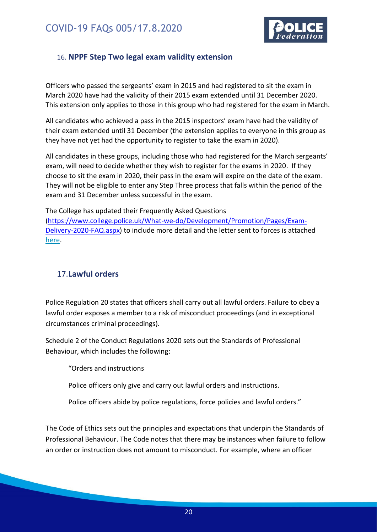

#### <span id="page-19-0"></span>16. **NPPF Step Two legal exam validity extension**

Officers who passed the sergeants' exam in 2015 and had registered to sit the exam in March 2020 have had the validity of their 2015 exam extended until 31 December 2020. This extension only applies to those in this group who had registered for the exam in March.

All candidates who achieved a pass in the 2015 inspectors' exam have had the validity of their exam extended until 31 December (the extension applies to everyone in this group as they have not yet had the opportunity to register to take the exam in 2020).

All candidates in these groups, including those who had registered for the March sergeants' exam, will need to decide whether they wish to register for the exams in 2020. If they choose to sit the exam in 2020, their pass in the exam will expire on the date of the exam. They will not be eligible to enter any Step Three process that falls within the period of the exam and 31 December unless successful in the exam.

The College has updated their Frequently Asked Questions [\(https://www.college.police.uk/What-we-do/Development/Promotion/Pages/Exam-](https://www.college.police.uk/What-we-do/Development/Promotion/Pages/Exam-Delivery-2020-FAQ.aspx)[Delivery-2020-FAQ.aspx\)](https://www.college.police.uk/What-we-do/Development/Promotion/Pages/Exam-Delivery-2020-FAQ.aspx) to include more detail and the letter sent to forces is attached [here.](https://polfed.sharepoint.com/sites/pfewhqresearch/Shared%20Documents/Files/000%20COVID/NPPF%20exams/Extensions%20to%20Validity%20August%202020.docx.pdf)

#### <span id="page-19-1"></span>17.**Lawful orders**

Police Regulation 20 states that officers shall carry out all lawful orders. Failure to obey a lawful order exposes a member to a risk of misconduct proceedings (and in exceptional circumstances criminal proceedings).

Schedule 2 of the Conduct Regulations 2020 sets out the Standards of Professional Behaviour, which includes the following:

#### "Orders and instructions

Police officers only give and carry out lawful orders and instructions.

Police officers abide by police regulations, force policies and lawful orders."

The Code of Ethics sets out the principles and expectations that underpin the Standards of Professional Behaviour. The Code notes that there may be instances when failure to follow an order or instruction does not amount to misconduct. For example, where an officer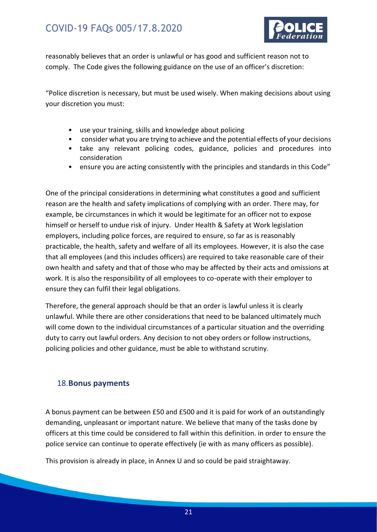

reasonably believes that an order is unlawful or has good and sufficient reason not to comply. The Code gives the following guidance on the use of an officer's discretion:

"Police discretion is necessary, but must be used wisely. When making decisions about using your discretion you must:

- use your training, skills and knowledge about policing
- consider what you are trying to achieve and the potential effects of your decisions
- take any relevant policing codes, guidance, policies and procedures into consideration
- ensure you are acting consistently with the principles and standards in this Code"

One of the principal considerations in determining what constitutes a good and sufficient reason are the health and safety implications of complying with an order. There may, for example, be circumstances in which it would be legitimate for an officer not to expose himself or herself to undue risk of injury. Under Health & Safety at Work legislation employers, including police forces, are required to ensure, so far as is reasonably practicable, the health, safety and welfare of all its employees. However, it is also the case that all employees (and this includes officers) are required to take reasonable care of their own health and safety and that of those who may be affected by their acts and omissions at work. It is also the responsibility of all employees to co-operate with their employer to ensure they can fulfil their legal obligations.

Therefore, the general approach should be that an order is lawful unless it is clearly unlawful. While there are other considerations that need to be balanced ultimately much will come down to the individual circumstances of a particular situation and the overriding duty to carry out lawful orders. Any decision to not obey orders or follow instructions, policing policies and other guidance, must be able to withstand scrutiny.

#### <span id="page-20-0"></span>18.**Bonus payments**

A bonus payment can be between £50 and £500 and it is paid for work of an outstandingly demanding, unpleasant or important nature. We believe that many of the tasks done by officers at this time could be considered to fall within this definition. in order to ensure the police service can continue to operate effectively (ie with as many officers as possible).

This provision is already in place, in Annex U and so could be paid straightaway.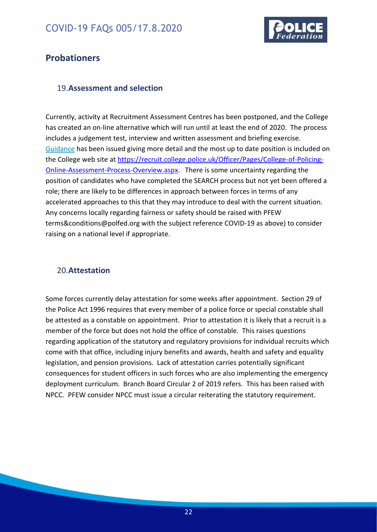

### <span id="page-21-0"></span>**Probationers**

#### <span id="page-21-1"></span>19.**Assessment and selection**

Currently, activity at Recruitment Assessment Centres has been postponed, and the College has created an on-line alternative which will run until at least the end of 2020. The process includes a judgement test, interview and written assessment and briefing exercise. [Guidance](https://polfed.sharepoint.com/sites/pfewhqresearch/Shared%20Documents/Files/000%20COVID/Initial%20Recuitment/Overview_of_online_assessment_process_for_initial_police_recruitment_v1.0.pdf) has been issued giving more detail and the most up to date position is included on the College web site at [https://recruit.college.police.uk/Officer/Pages/College-of-Policing-](https://recruit.college.police.uk/Officer/Pages/College-of-Policing-Online-Assessment-Process-Overview.aspx)[Online-Assessment-Process-Overview.aspx.](https://recruit.college.police.uk/Officer/Pages/College-of-Policing-Online-Assessment-Process-Overview.aspx) There is some uncertainty regarding the position of candidates who have completed the SEARCH process but not yet been offered a role; there are likely to be differences in approach between forces in terms of any accelerated approaches to this that they may introduce to deal with the current situation. Any concerns locally regarding fairness or safety should be raised with PFEW [terms&conditions@polfed.org](mailto:terms&conditions@polfed.org) with the subject reference COVID-19 as above) to consider raising on a national level if appropriate.

#### <span id="page-21-2"></span>20.**Attestation**

Some forces currently delay attestation for some weeks after appointment. Section 29 of the Police Act 1996 requires that every member of a police force or special constable shall be attested as a constable on appointment. Prior to attestation it is likely that a recruit is a member of the force but does not hold the office of constable. This raises questions regarding application of the statutory and regulatory provisions for individual recruits which come with that office, including injury benefits and awards, health and safety and equality legislation, and pension provisions. Lack of attestation carries potentially significant consequences for student officers in such forces who are also implementing the emergency deployment curriculum. [Branch Board Circular 2 of 2019](https://polfed.sharepoint.com/sites/hub/BB%20Circulars/2019/002-2019%20BB%20Circular%20Timing%20of%20Attestation%20for%20New%20Recruits.pdf) refers. This has been raised with NPCC. PFEW consider NPCC must issue a circular reiterating the statutory requirement.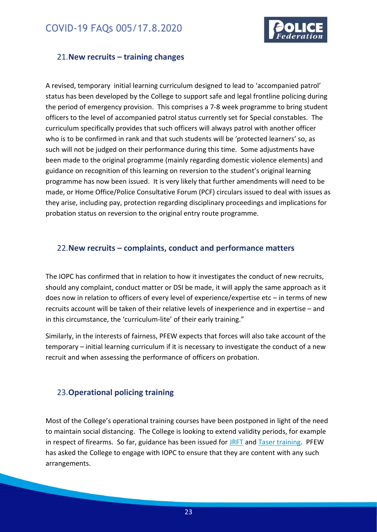

#### <span id="page-22-0"></span>21.**New recruits – training changes**

A revised, temporary [initial learning curriculum](file:///C:/Users/jo.strong/Police%20Federation%20of%20England%20and%20Wales/PFEW%20HQ%20Research%20-%20Documents/Files/000%20COVID/Student%20officers/Curriculum%20for%20Emergency%20Deployment%20of%20Student%20Officers%20(COVID%2019)%20v1.0.pdf) designed to lead to 'accompanied patrol' status has been developed by the College to support safe and legal frontline policing during the period of emergency provision. This comprises a 7-8 week programme to bring student officers to the level of accompanied patrol status currently set for Special constables. The curriculum specifically provides that such officers will always patrol with another officer who is to be confirmed in rank and that such students will be 'protected learners' so, as such will not be judged on their performance during this time. Some adjustments have been made to the original programme (mainly regarding domestic violence elements) and guidance on recognition of this learning on reversion to the student's original learning programme has now been issued. It is very likely that further amendments will need to be made, or Home Office/Police Consultative Forum (PCF) circulars issued to deal with issues as they arise, including pay, protection regarding disciplinary proceedings and implications for probation status on reversion to the original entry route programme.

#### <span id="page-22-1"></span>22.**New recruits – complaints, conduct and performance matters**

The IOPC has confirmed that in relation to how it investigates the conduct of new recruits, should any complaint, conduct matter or DSI be made, it will apply the same approach as it does now in relation to officers of every level of experience/expertise etc – in terms of new recruits account will be taken of their relative levels of inexperience and in expertise – and in this circumstance, the 'curriculum-lite' of their early training."

Similarly, in the interests of fairness, PFEW expects that forces will also take account of the temporary – initial learning curriculum if it is necessary to investigate the conduct of a new recruit and when assessing the performance of officers on probation.

#### <span id="page-22-2"></span>23.**Operational policing training**

Most of the College's operational training courses have been postponed in light of the need to maintain social distancing. The College is looking to extend validity periods, for example in respect of firearms. So far, guidance has been issued for [JRFT](https://polfed.sharepoint.com/sites/pfewhqresearch/Shared%20Documents/Files/000%20COVID/Refresher%20training/MC%20to%20CCs%20Re%20Uplift%20JRFT%20Final%20010420%20(004).docx) and [Taser training.](https://polfed.sharepoint.com/sites/pfewhqresearch/Shared%20Documents/Files/000%20COVID/Refresher%20training/03LL) PFEW has asked the College to engage with IOPC to ensure that they are content with any such arrangements.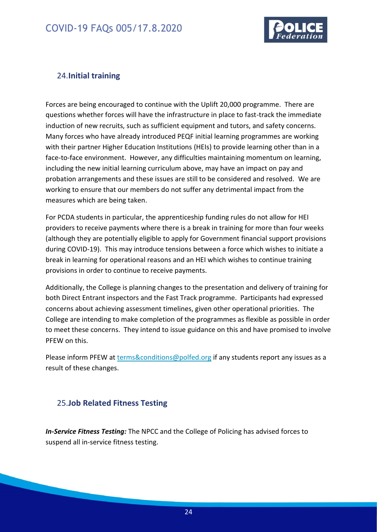

#### <span id="page-23-0"></span>24.**Initial training**

Forces are being encouraged to continue with the Uplift 20,000 programme. There are questions whether forces will have the infrastructure in place to fast-track the immediate induction of new recruits, such as sufficient equipment and tutors, and safety concerns. Many forces who have already introduced PEQF initial learning programmes are working with their partner Higher Education Institutions (HEIs) to provide learning other than in a face-to-face environment. However, any difficulties maintaining momentum on learning, including the new initial learning curriculum above, may have an impact on pay and probation arrangements and these issues are still to be considered and resolved. We are working to ensure that our members do not suffer any detrimental impact from the measures which are being taken.

For PCDA students in particular, the apprenticeship funding rules do not allow for HEI providers to receive payments where there is a break in training for more than four weeks (although they are potentially eligible to apply for Government financial support provisions during COVID-19). This may introduce tensions between a force which wishes to initiate a break in learning for operational reasons and an HEI which wishes to continue training provisions in order to continue to receive payments.

Additionally, the College is planning changes to the presentation and delivery of training for both Direct Entrant inspectors and the Fast Track programme. Participants had expressed concerns about achieving assessment timelines, given other operational priorities. The College are intending to make completion of the programmes as flexible as possible in order to meet these concerns. They intend to issue guidance on this and have promised to involve PFEW on this.

Please inform PFEW at [terms&conditions@polfed.org](mailto:terms&conditions@polfed.org) if any students report any issues as a result of these changes.

#### <span id="page-23-1"></span>25.**Job Related Fitness Testing**

*In-Service Fitness Testing:* The NPCC and the College of Policing has advised forces to suspend all in-service fitness testing.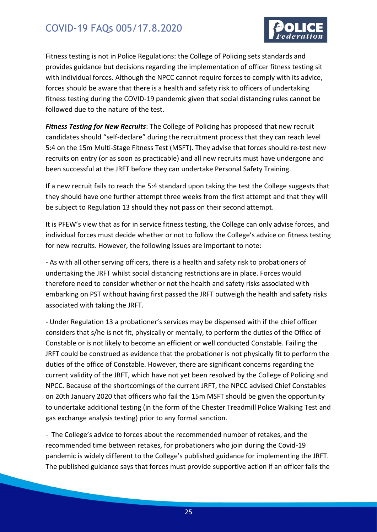

Fitness testing is not in Police Regulations: the College of Policing sets standards and provides guidance but decisions regarding the implementation of officer fitness testing sit with individual forces. Although the NPCC cannot require forces to comply with its advice, forces should be aware that there is a health and safety risk to officers of undertaking fitness testing during the COVID-19 pandemic given that social distancing rules cannot be followed due to the nature of the test.

*Fitness Testing for New Recruits*: The College of Policing has proposed that new recruit candidates should "self-declare" during the recruitment process that they can reach level 5:4 on the 15m Multi-Stage Fitness Test (MSFT). They advise that forces should re-test new recruits on entry (or as soon as practicable) and all new recruits must have undergone and been successful at the JRFT before they can undertake Personal Safety Training.

If a new recruit fails to reach the 5:4 standard upon taking the test the College suggests that they should have one further attempt three weeks from the first attempt and that they will be subject to Regulation 13 should they not pass on their second attempt.

It is PFEW's view that as for in service fitness testing, the College can only advise forces, and individual forces must decide whether or not to follow the College's advice on fitness testing for new recruits. However, the following issues are important to note:

- As with all other serving officers, there is a health and safety risk to probationers of undertaking the JRFT whilst social distancing restrictions are in place. Forces would therefore need to consider whether or not the health and safety risks associated with embarking on PST without having first passed the JRFT outweigh the health and safety risks associated with taking the JRFT.

- Under Regulation 13 a probationer's services may be dispensed with if the chief officer considers that s/he is not fit, physically or mentally, to perform the duties of the Office of Constable or is not likely to become an efficient or well conducted Constable. Failing the JRFT could be construed as evidence that the probationer is not physically fit to perform the duties of the office of Constable. However, there are significant concerns regarding the current validity of the JRFT, which have not yet been resolved by the College of Policing and NPCC. Because of the shortcomings of the current JRFT, the NPCC advised Chief Constables on 20th January 2020 that officers who fail the 15m MSFT should be given the opportunity to undertake additional testing (in the form of the Chester Treadmill Police Walking Test and gas exchange analysis testing) prior to any formal sanction.

- The College's advice to forces about the recommended number of retakes, and the recommended time between retakes, for probationers who join during the Covid-19 pandemic is widely different to the College's published guidance for implementing the JRFT. The published guidance says that forces must provide supportive action if an officer fails the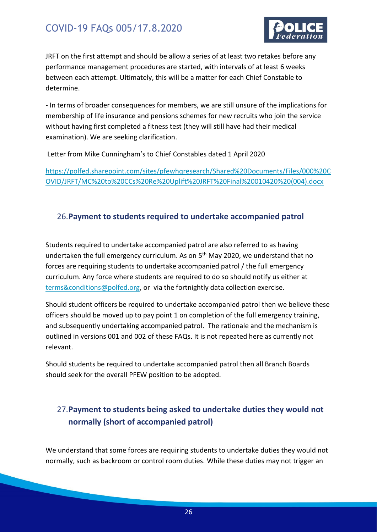

JRFT on the first attempt and should be allow a series of at least two retakes before any performance management procedures are started, with intervals of at least 6 weeks between each attempt. Ultimately, this will be a matter for each Chief Constable to determine.

- In terms of broader consequences for members, we are still unsure of the implications for membership of life insurance and pensions schemes for new recruits who join the service without having first completed a fitness test (they will still have had their medical examination). We are seeking clarification.

Letter from Mike Cunningham's to Chief Constables dated 1 April 2020

[https://polfed.sharepoint.com/sites/pfewhqresearch/Shared%20Documents/Files/000%20C](https://polfed.sharepoint.com/sites/pfewhqresearch/Shared%20Documents/Files/000%20COVID/JRFT/MC%20to%20CCs%20Re%20Uplift%20JRFT%20Final%20010420%20(004).docx) [OVID/JRFT/MC%20to%20CCs%20Re%20Uplift%20JRFT%20Final%20010420%20\(004\).docx](https://polfed.sharepoint.com/sites/pfewhqresearch/Shared%20Documents/Files/000%20COVID/JRFT/MC%20to%20CCs%20Re%20Uplift%20JRFT%20Final%20010420%20(004).docx)

#### <span id="page-25-0"></span>26.**Payment to students required to undertake accompanied patrol**

Students required to undertake accompanied patrol are also referred to as having undertaken the full emergency curriculum. As on 5<sup>th</sup> May 2020, we understand that no forces are requiring students to undertake accompanied patrol / the full emergency curriculum. Any force where students are required to do so should notify us either at [terms&conditions@polfed.org,](mailto:terms&conditions@polfed.org) or via the fortnightly data collection exercise.

Should student officers be required to undertake accompanied patrol then we believe these officers should be moved up to pay point 1 on completion of the full emergency training, and subsequently undertaking accompanied patrol. The rationale and the mechanism is outlined in versions 001 and 002 of these FAQs. It is not repeated here as currently not relevant.

Should students be required to undertake accompanied patrol then all Branch Boards should seek for the overall PFEW position to be adopted.

### <span id="page-25-1"></span>27.**Payment to students being asked to undertake duties they would not normally (short of accompanied patrol)**

We understand that some forces are requiring students to undertake duties they would not normally, such as backroom or control room duties. While these duties may not trigger an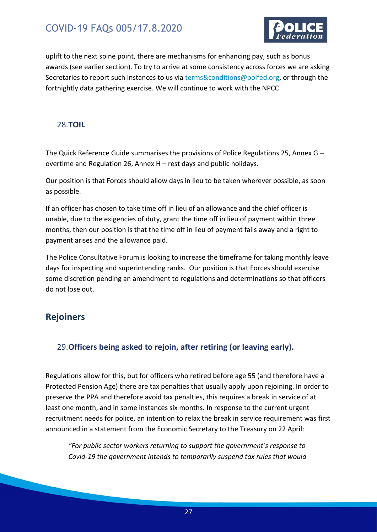

uplift to the next spine point, there are mechanisms for enhancing pay, such as bonus awards (see earlier section). To try to arrive at some consistency across forces we are asking Secretaries to report such instances to us via [terms&conditions@polfed.org,](mailto:terms&conditions@polfed.org) or through the fortnightly data gathering exercise. We will continue to work with the NPCC

#### <span id="page-26-0"></span>28.**TOIL**

The Quick Reference Guide summarises the provisions of Police Regulations 25, Annex G – overtime and Regulation 26, Annex H – rest days and public holidays.

Our position is that Forces should allow days in lieu to be taken wherever possible, as soon as possible.

If an officer has chosen to take time off in lieu of an allowance and the chief officer is unable, due to the exigencies of duty, grant the time off in lieu of payment within three months, then our position is that the time off in lieu of payment falls away and a right to payment arises and the allowance paid.

The Police Consultative Forum is looking to increase the timeframe for taking monthly leave days for inspecting and superintending ranks. Our position is that Forces should exercise some discretion pending an amendment to regulations and determinations so that officers do not lose out.

### <span id="page-26-1"></span>**Rejoiners**

#### <span id="page-26-2"></span>29.**Officers being asked to rejoin, after retiring (or leaving early).**

Regulations allow for this, but for officers who retired before age 55 (and therefore have a Protected Pension Age) there are tax penalties that usually apply upon rejoining. In order to preserve the PPA and therefore avoid tax penalties, this requires a break in service of at least one month, and in some instances six months. In response to the current urgent recruitment needs for police, an intention to relax the break in service requirement was first announced in a statement from the Economic Secretary to the Treasury on 22 April:

*"For public sector workers returning to support the government's response to Covid-19 the government intends to temporarily suspend tax rules that would*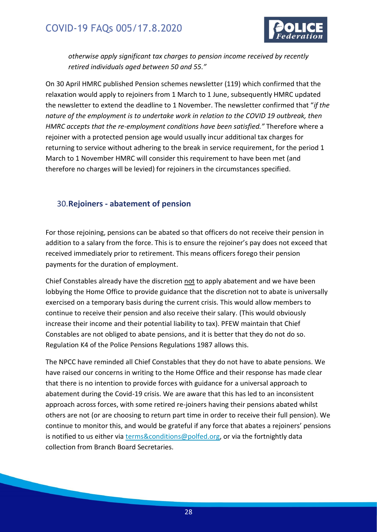

*otherwise apply significant tax charges to pension income received by recently retired individuals aged between 50 and 55."*

On 30 April HMRC published Pension schemes newsletter (119) which confirmed that the relaxation would apply to rejoiners from 1 March to 1 June, subsequently HMRC updated the newsletter to extend the deadline to 1 November. The newsletter confirmed that "*if the nature of the employment is to undertake work in relation to the COVID 19 outbreak, then HMRC accepts that the re-employment conditions have been satisfied."* Therefore where a rejoiner with a protected pension age would usually incur additional tax charges for returning to service without adhering to the break in service requirement, for the period 1 March to 1 November HMRC will consider this requirement to have been met (and therefore no charges will be levied) for rejoiners in the circumstances specified.

#### <span id="page-27-0"></span>30.**Rejoiners - abatement of pension**

For those rejoining, pensions can be abated so that officers do not receive their pension in addition to a salary from the force. This is to ensure the rejoiner's pay does not exceed that received immediately prior to retirement. This means officers forego their pension payments for the duration of employment.

Chief Constables already have the discretion not to apply abatement and we have been lobbying the Home Office to provide guidance that the discretion not to abate is universally exercised on a temporary basis during the current crisis. This would allow members to continue to receive their pension and also receive their salary. (This would obviously increase their income and their potential liability to tax). PFEW maintain that Chief Constables are not obliged to abate pensions, and it is better that they do not do so. Regulation K4 of the Police Pensions Regulations 1987 allows this.

The NPCC have reminded all Chief Constables that they do not have to abate pensions. We have raised our concerns in writing to the Home Office and their response has made clear that there is no intention to provide forces with guidance for a universal approach to abatement during the Covid-19 crisis. We are aware that this has led to an inconsistent approach across forces, with some retired re-joiners having their pensions abated whilst others are not (or are choosing to return part time in order to receive their full pension). We continue to monitor this, and would be grateful if any force that abates a rejoiners' pensions is notified to us either via [terms&conditions@polfed.org,](mailto:terms&conditions@polfed.org) or via the fortnightly data collection from Branch Board Secretaries.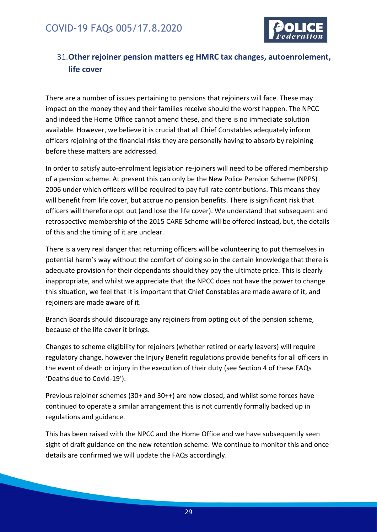

### <span id="page-28-0"></span>31.**Other rejoiner pension matters eg HMRC tax changes, autoenrolement, life cover**

There are a number of issues pertaining to pensions that rejoiners will face. These may impact on the money they and their families receive should the worst happen. The NPCC and indeed the Home Office cannot amend these, and there is no immediate solution available. However, we believe it is crucial that all Chief Constables adequately inform officers rejoining of the financial risks they are personally having to absorb by rejoining before these matters are addressed.

In order to satisfy auto-enrolment legislation re-joiners will need to be offered membership of a pension scheme. At present this can only be the New Police Pension Scheme (NPPS) 2006 under which officers will be required to pay full rate contributions. This means they will benefit from life cover, but accrue no pension benefits. There is significant risk that officers will therefore opt out (and lose the life cover). We understand that subsequent and retrospective membership of the 2015 CARE Scheme will be offered instead, but, the details of this and the timing of it are unclear.

There is a very real danger that returning officers will be volunteering to put themselves in potential harm's way without the comfort of doing so in the certain knowledge that there is adequate provision for their dependants should they pay the ultimate price. This is clearly inappropriate, and whilst we appreciate that the NPCC does not have the power to change this situation, we feel that it is important that Chief Constables are made aware of it, and rejoiners are made aware of it.

Branch Boards should discourage any rejoiners from opting out of the pension scheme, because of the life cover it brings.

Changes to scheme eligibility for rejoiners (whether retired or early leavers) will require regulatory change, however the Injury Benefit regulations provide benefits for all officers in the event of death or injury in the execution of their duty (see Section 4 of these FAQs 'Deaths due to Covid-19').

Previous rejoiner schemes (30+ and 30++) are now closed, and whilst some forces have continued to operate a similar arrangement this is not currently formally backed up in regulations and guidance.

This has been raised with the NPCC and the Home Office and we have subsequently seen sight of draft guidance on the new retention scheme. We continue to monitor this and once details are confirmed we will update the FAQs accordingly.